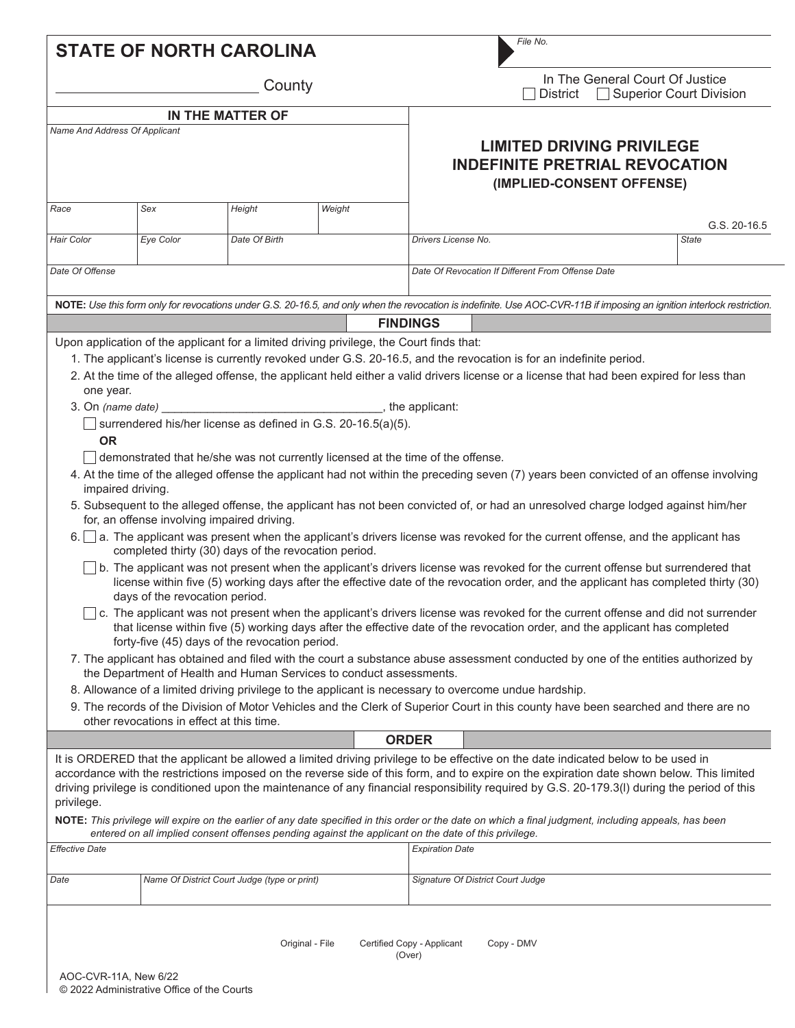| <b>STATE OF NORTH CAROLINA</b> |                                                                                                                                                                         |                                              |                                                                                                                                                                                                                                                                         |                                                                          | File No.                                                                                               |                                                   |  |                                                                                                                                                                                                                                                                                                                                                                                                                                                                                                                                                                                          |  |
|--------------------------------|-------------------------------------------------------------------------------------------------------------------------------------------------------------------------|----------------------------------------------|-------------------------------------------------------------------------------------------------------------------------------------------------------------------------------------------------------------------------------------------------------------------------|--------------------------------------------------------------------------|--------------------------------------------------------------------------------------------------------|---------------------------------------------------|--|------------------------------------------------------------------------------------------------------------------------------------------------------------------------------------------------------------------------------------------------------------------------------------------------------------------------------------------------------------------------------------------------------------------------------------------------------------------------------------------------------------------------------------------------------------------------------------------|--|
| County                         |                                                                                                                                                                         |                                              |                                                                                                                                                                                                                                                                         | In The General Court Of Justice<br>□ Superior Court Division<br>District |                                                                                                        |                                                   |  |                                                                                                                                                                                                                                                                                                                                                                                                                                                                                                                                                                                          |  |
| <b>IN THE MATTER OF</b>        |                                                                                                                                                                         |                                              |                                                                                                                                                                                                                                                                         |                                                                          |                                                                                                        |                                                   |  |                                                                                                                                                                                                                                                                                                                                                                                                                                                                                                                                                                                          |  |
| Name And Address Of Applicant  |                                                                                                                                                                         |                                              |                                                                                                                                                                                                                                                                         |                                                                          | <b>LIMITED DRIVING PRIVILEGE</b><br><b>INDEFINITE PRETRIAL REVOCATION</b><br>(IMPLIED-CONSENT OFFENSE) |                                                   |  |                                                                                                                                                                                                                                                                                                                                                                                                                                                                                                                                                                                          |  |
| Race                           | Sex                                                                                                                                                                     | Height                                       | Weight                                                                                                                                                                                                                                                                  |                                                                          |                                                                                                        |                                                   |  | G.S. 20-16.5                                                                                                                                                                                                                                                                                                                                                                                                                                                                                                                                                                             |  |
| Hair Color                     | Eye Color                                                                                                                                                               | Date Of Birth                                |                                                                                                                                                                                                                                                                         | Drivers License No.                                                      |                                                                                                        |                                                   |  | <b>State</b>                                                                                                                                                                                                                                                                                                                                                                                                                                                                                                                                                                             |  |
| Date Of Offense                |                                                                                                                                                                         |                                              |                                                                                                                                                                                                                                                                         |                                                                          |                                                                                                        | Date Of Revocation If Different From Offense Date |  |                                                                                                                                                                                                                                                                                                                                                                                                                                                                                                                                                                                          |  |
|                                | NOTE: Use this form only for revocations under G.S. 20-16.5, and only when the revocation is indefinite. Use AOC-CVR-11B if imposing an ignition interlock restriction. |                                              |                                                                                                                                                                                                                                                                         |                                                                          |                                                                                                        |                                                   |  |                                                                                                                                                                                                                                                                                                                                                                                                                                                                                                                                                                                          |  |
|                                |                                                                                                                                                                         |                                              | Upon application of the applicant for a limited driving privilege, the Court finds that:                                                                                                                                                                                | <b>FINDINGS</b>                                                          |                                                                                                        |                                                   |  |                                                                                                                                                                                                                                                                                                                                                                                                                                                                                                                                                                                          |  |
| one year.<br><b>OR</b>         |                                                                                                                                                                         |                                              | 1. The applicant's license is currently revoked under G.S. 20-16.5, and the revocation is for an indefinite period.<br>surrendered his/her license as defined in G.S. 20-16.5(a)(5).<br>demonstrated that he/she was not currently licensed at the time of the offense. |                                                                          |                                                                                                        |                                                   |  | 2. At the time of the alleged offense, the applicant held either a valid drivers license or a license that had been expired for less than                                                                                                                                                                                                                                                                                                                                                                                                                                                |  |
| impaired driving.<br>6.1       | for, an offense involving impaired driving.<br>completed thirty (30) days of the revocation period.                                                                     |                                              |                                                                                                                                                                                                                                                                         |                                                                          |                                                                                                        |                                                   |  | 4. At the time of the alleged offense the applicant had not within the preceding seven (7) years been convicted of an offense involving<br>5. Subsequent to the alleged offense, the applicant has not been convicted of, or had an unresolved charge lodged against him/her<br>a. The applicant was present when the applicant's drivers license was revoked for the current offense, and the applicant has                                                                                                                                                                             |  |
|                                | days of the revocation period.                                                                                                                                          |                                              |                                                                                                                                                                                                                                                                         |                                                                          |                                                                                                        |                                                   |  | b. The applicant was not present when the applicant's drivers license was revoked for the current offense but surrendered that<br>license within five (5) working days after the effective date of the revocation order, and the applicant has completed thirty (30)<br>c. The applicant was not present when the applicant's drivers license was revoked for the current offense and did not surrender                                                                                                                                                                                  |  |
|                                | forty-five (45) days of the revocation period.                                                                                                                          |                                              |                                                                                                                                                                                                                                                                         |                                                                          |                                                                                                        |                                                   |  | that license within five (5) working days after the effective date of the revocation order, and the applicant has completed                                                                                                                                                                                                                                                                                                                                                                                                                                                              |  |
|                                |                                                                                                                                                                         |                                              | the Department of Health and Human Services to conduct assessments.                                                                                                                                                                                                     |                                                                          |                                                                                                        |                                                   |  | 7. The applicant has obtained and filed with the court a substance abuse assessment conducted by one of the entities authorized by                                                                                                                                                                                                                                                                                                                                                                                                                                                       |  |
|                                |                                                                                                                                                                         |                                              | 8. Allowance of a limited driving privilege to the applicant is necessary to overcome undue hardship.                                                                                                                                                                   |                                                                          |                                                                                                        |                                                   |  |                                                                                                                                                                                                                                                                                                                                                                                                                                                                                                                                                                                          |  |
|                                | other revocations in effect at this time.                                                                                                                               |                                              |                                                                                                                                                                                                                                                                         |                                                                          |                                                                                                        |                                                   |  | 9. The records of the Division of Motor Vehicles and the Clerk of Superior Court in this county have been searched and there are no                                                                                                                                                                                                                                                                                                                                                                                                                                                      |  |
|                                |                                                                                                                                                                         |                                              |                                                                                                                                                                                                                                                                         | <b>ORDER</b>                                                             |                                                                                                        |                                                   |  |                                                                                                                                                                                                                                                                                                                                                                                                                                                                                                                                                                                          |  |
| privilege.                     |                                                                                                                                                                         |                                              |                                                                                                                                                                                                                                                                         |                                                                          |                                                                                                        |                                                   |  | It is ORDERED that the applicant be allowed a limited driving privilege to be effective on the date indicated below to be used in<br>accordance with the restrictions imposed on the reverse side of this form, and to expire on the expiration date shown below. This limited<br>driving privilege is conditioned upon the maintenance of any financial responsibility required by G.S. 20-179.3(I) during the period of this<br>NOTE: This privilege will expire on the earlier of any date specified in this order or the date on which a final judgment, including appeals, has been |  |
| <b>Effective Date</b>          |                                                                                                                                                                         |                                              | entered on all implied consent offenses pending against the applicant on the date of this privilege.                                                                                                                                                                    | <b>Expiration Date</b>                                                   |                                                                                                        |                                                   |  |                                                                                                                                                                                                                                                                                                                                                                                                                                                                                                                                                                                          |  |
|                                |                                                                                                                                                                         |                                              |                                                                                                                                                                                                                                                                         |                                                                          |                                                                                                        |                                                   |  |                                                                                                                                                                                                                                                                                                                                                                                                                                                                                                                                                                                          |  |
| Date                           |                                                                                                                                                                         | Name Of District Court Judge (type or print) |                                                                                                                                                                                                                                                                         |                                                                          | Signature Of District Court Judge                                                                      |                                                   |  |                                                                                                                                                                                                                                                                                                                                                                                                                                                                                                                                                                                          |  |
|                                |                                                                                                                                                                         | Original - File                              |                                                                                                                                                                                                                                                                         | Certified Copy - Applicant<br>(Over)                                     | Copy - DMV                                                                                             |                                                   |  |                                                                                                                                                                                                                                                                                                                                                                                                                                                                                                                                                                                          |  |